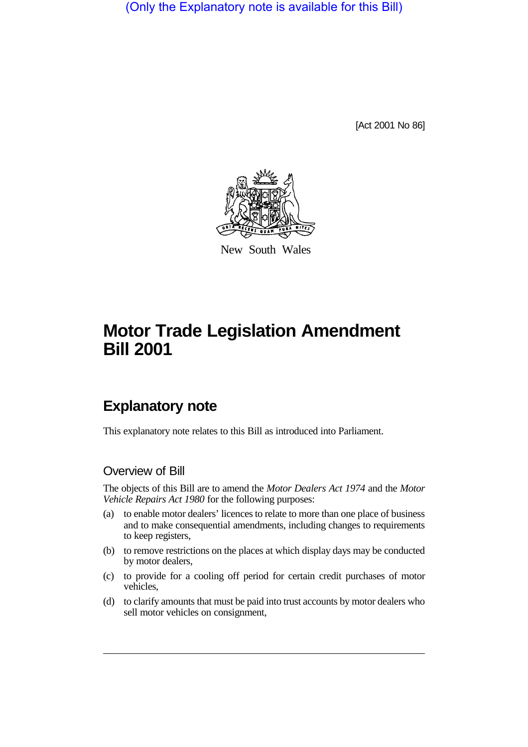(Only the Explanatory note is available for this Bill)

[Act 2001 No 86]



New South Wales

# **Motor Trade Legislation Amendment Bill 2001**

## **Explanatory note**

This explanatory note relates to this Bill as introduced into Parliament.

### Overview of Bill

The objects of this Bill are to amend the *Motor Dealers Act 1974* and the *Motor Vehicle Repairs Act 1980* for the following purposes:

- (a) to enable motor dealers' licences to relate to more than one place of business and to make consequential amendments, including changes to requirements to keep registers,
- (b) to remove restrictions on the places at which display days may be conducted by motor dealers,
- (c) to provide for a cooling off period for certain credit purchases of motor vehicles,
- (d) to clarify amounts that must be paid into trust accounts by motor dealers who sell motor vehicles on consignment,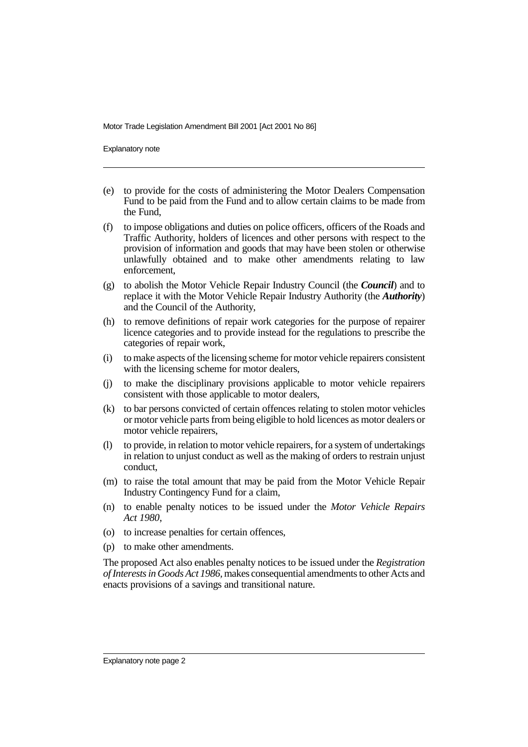Explanatory note

- (e) to provide for the costs of administering the Motor Dealers Compensation Fund to be paid from the Fund and to allow certain claims to be made from the Fund,
- (f) to impose obligations and duties on police officers, officers of the Roads and Traffic Authority, holders of licences and other persons with respect to the provision of information and goods that may have been stolen or otherwise unlawfully obtained and to make other amendments relating to law enforcement,
- (g) to abolish the Motor Vehicle Repair Industry Council (the *Council*) and to replace it with the Motor Vehicle Repair Industry Authority (the *Authority*) and the Council of the Authority,
- (h) to remove definitions of repair work categories for the purpose of repairer licence categories and to provide instead for the regulations to prescribe the categories of repair work,
- (i) to make aspects of the licensing scheme for motor vehicle repairers consistent with the licensing scheme for motor dealers.
- (j) to make the disciplinary provisions applicable to motor vehicle repairers consistent with those applicable to motor dealers,
- (k) to bar persons convicted of certain offences relating to stolen motor vehicles or motor vehicle parts from being eligible to hold licences as motor dealers or motor vehicle repairers,
- (l) to provide, in relation to motor vehicle repairers, for a system of undertakings in relation to unjust conduct as well as the making of orders to restrain unjust conduct,
- (m) to raise the total amount that may be paid from the Motor Vehicle Repair Industry Contingency Fund for a claim,
- (n) to enable penalty notices to be issued under the *Motor Vehicle Repairs Act 1980*,
- (o) to increase penalties for certain offences,
- (p) to make other amendments.

The proposed Act also enables penalty notices to be issued under the *Registration of Interests in Goods Act 1986,* makes consequential amendments to other Acts and enacts provisions of a savings and transitional nature.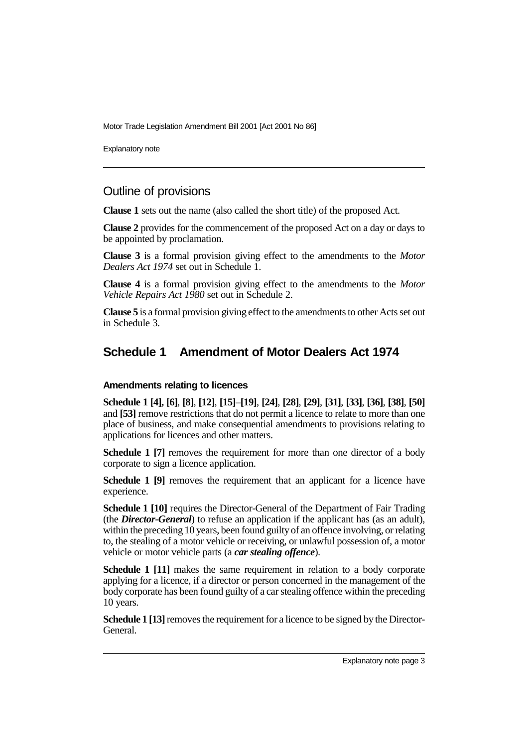Explanatory note

### Outline of provisions

**Clause 1** sets out the name (also called the short title) of the proposed Act.

**Clause 2** provides for the commencement of the proposed Act on a day or days to be appointed by proclamation.

**Clause 3** is a formal provision giving effect to the amendments to the *Motor Dealers Act 1974* set out in Schedule 1.

**Clause 4** is a formal provision giving effect to the amendments to the *Motor Vehicle Repairs Act 1980* set out in Schedule 2.

**Clause 5** is a formal provision giving effect to the amendments to other Acts set out in Schedule 3.

### **Schedule 1 Amendment of Motor Dealers Act 1974**

### **Amendments relating to licences**

**Schedule 1 [4], [6]**, **[8]**, **[12]**, **[15]**–**[19]**, **[24]**, **[28]**, **[29]**, **[31]**, **[33]**, **[36]**, **[38]**, **[50]** and **[53]** remove restrictions that do not permit a licence to relate to more than one place of business, and make consequential amendments to provisions relating to applications for licences and other matters.

**Schedule 1 [7]** removes the requirement for more than one director of a body corporate to sign a licence application.

**Schedule 1 [9]** removes the requirement that an applicant for a licence have experience.

**Schedule 1 [10]** requires the Director-General of the Department of Fair Trading (the *Director-General*) to refuse an application if the applicant has (as an adult), within the preceding 10 years, been found guilty of an offence involving, or relating to, the stealing of a motor vehicle or receiving, or unlawful possession of, a motor vehicle or motor vehicle parts (a *car stealing offence*).

**Schedule 1 [11]** makes the same requirement in relation to a body corporate applying for a licence, if a director or person concerned in the management of the body corporate has been found guilty of a car stealing offence within the preceding 10 years.

**Schedule 1 [13]** removes the requirement for a licence to be signed by the Director-General.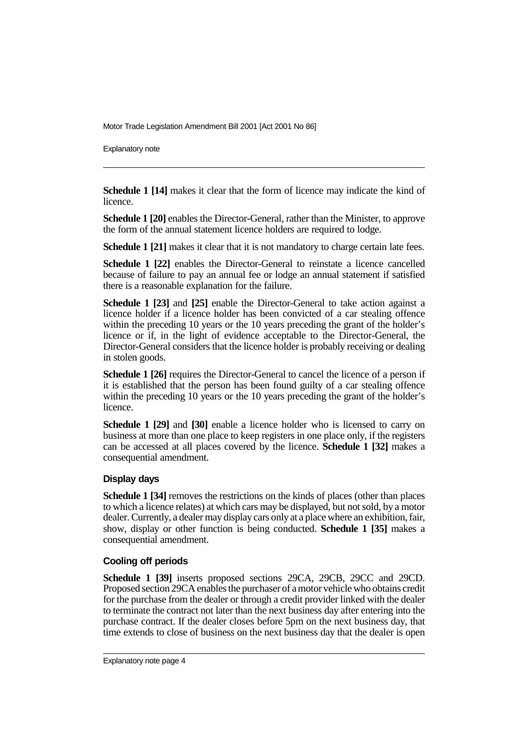Explanatory note

**Schedule 1 [14]** makes it clear that the form of licence may indicate the kind of licence.

**Schedule 1 [20]** enables the Director-General, rather than the Minister, to approve the form of the annual statement licence holders are required to lodge.

**Schedule 1 [21]** makes it clear that it is not mandatory to charge certain late fees.

**Schedule 1 [22]** enables the Director-General to reinstate a licence cancelled because of failure to pay an annual fee or lodge an annual statement if satisfied there is a reasonable explanation for the failure.

**Schedule 1 [23]** and **[25]** enable the Director-General to take action against a licence holder if a licence holder has been convicted of a car stealing offence within the preceding 10 years or the 10 years preceding the grant of the holder's licence or if, in the light of evidence acceptable to the Director-General, the Director-General considers that the licence holder is probably receiving or dealing in stolen goods.

**Schedule 1 [26]** requires the Director-General to cancel the licence of a person if it is established that the person has been found guilty of a car stealing offence within the preceding 10 years or the 10 years preceding the grant of the holder's licence.

**Schedule 1 [29]** and **[30]** enable a licence holder who is licensed to carry on business at more than one place to keep registers in one place only, if the registers can be accessed at all places covered by the licence. **Schedule 1 [32]** makes a consequential amendment.

### **Display days**

**Schedule 1 [34]** removes the restrictions on the kinds of places (other than places to which a licence relates) at which cars may be displayed, but not sold, by a motor dealer. Currently, a dealer may display cars only at a place where an exhibition, fair, show, display or other function is being conducted. **Schedule 1 [35]** makes a consequential amendment.

### **Cooling off periods**

**Schedule 1 [39]** inserts proposed sections 29CA, 29CB, 29CC and 29CD. Proposed section 29CA enables the purchaser of a motor vehicle who obtains credit for the purchase from the dealer or through a credit provider linked with the dealer to terminate the contract not later than the next business day after entering into the purchase contract. If the dealer closes before 5pm on the next business day, that time extends to close of business on the next business day that the dealer is open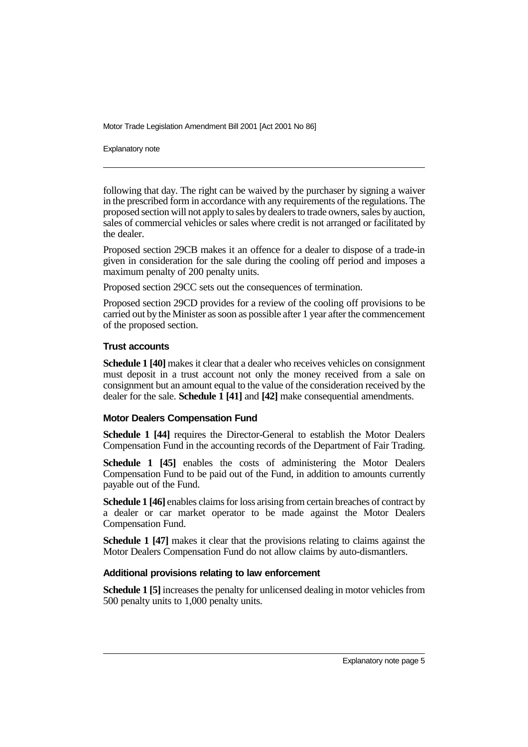Explanatory note

following that day. The right can be waived by the purchaser by signing a waiver in the prescribed form in accordance with any requirements of the regulations. The proposed section will not apply to sales by dealers to trade owners, sales by auction, sales of commercial vehicles or sales where credit is not arranged or facilitated by the dealer.

Proposed section 29CB makes it an offence for a dealer to dispose of a trade-in given in consideration for the sale during the cooling off period and imposes a maximum penalty of 200 penalty units.

Proposed section 29CC sets out the consequences of termination.

Proposed section 29CD provides for a review of the cooling off provisions to be carried out by the Minister as soon as possible after 1 year after the commencement of the proposed section.

### **Trust accounts**

**Schedule 1 [40]** makes it clear that a dealer who receives vehicles on consignment must deposit in a trust account not only the money received from a sale on consignment but an amount equal to the value of the consideration received by the dealer for the sale. **Schedule 1 [41]** and **[42]** make consequential amendments.

### **Motor Dealers Compensation Fund**

**Schedule 1 [44]** requires the Director-General to establish the Motor Dealers Compensation Fund in the accounting records of the Department of Fair Trading.

**Schedule 1 [45]** enables the costs of administering the Motor Dealers Compensation Fund to be paid out of the Fund, in addition to amounts currently payable out of the Fund.

**Schedule 1 [46]** enables claims for loss arising from certain breaches of contract by a dealer or car market operator to be made against the Motor Dealers Compensation Fund.

**Schedule 1 [47]** makes it clear that the provisions relating to claims against the Motor Dealers Compensation Fund do not allow claims by auto-dismantlers.

### **Additional provisions relating to law enforcement**

**Schedule 1 [5]** increases the penalty for unlicensed dealing in motor vehicles from 500 penalty units to 1,000 penalty units.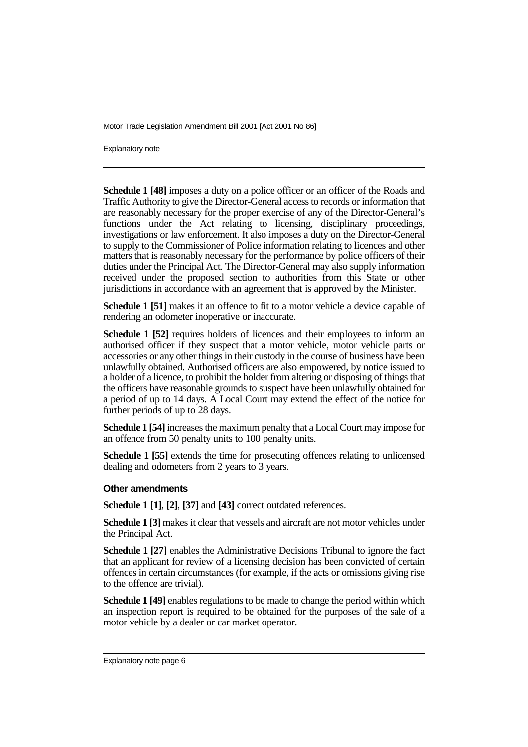Explanatory note

**Schedule 1 [48]** imposes a duty on a police officer or an officer of the Roads and Traffic Authority to give the Director-General access to records or information that are reasonably necessary for the proper exercise of any of the Director-General's functions under the Act relating to licensing, disciplinary proceedings, investigations or law enforcement. It also imposes a duty on the Director-General to supply to the Commissioner of Police information relating to licences and other matters that is reasonably necessary for the performance by police officers of their duties under the Principal Act. The Director-General may also supply information received under the proposed section to authorities from this State or other jurisdictions in accordance with an agreement that is approved by the Minister.

**Schedule 1 [51]** makes it an offence to fit to a motor vehicle a device capable of rendering an odometer inoperative or inaccurate.

**Schedule 1 [52]** requires holders of licences and their employees to inform an authorised officer if they suspect that a motor vehicle, motor vehicle parts or accessories or any other things in their custody in the course of business have been unlawfully obtained. Authorised officers are also empowered, by notice issued to a holder of a licence, to prohibit the holder from altering or disposing of things that the officers have reasonable grounds to suspect have been unlawfully obtained for a period of up to 14 days. A Local Court may extend the effect of the notice for further periods of up to 28 days.

**Schedule 1 [54]** increases the maximum penalty that a Local Court may impose for an offence from 50 penalty units to 100 penalty units.

**Schedule 1 [55]** extends the time for prosecuting offences relating to unlicensed dealing and odometers from 2 years to 3 years.

### **Other amendments**

**Schedule 1 [1]**, **[2]**, **[37]** and **[43]** correct outdated references.

**Schedule 1 [3]** makes it clear that vessels and aircraft are not motor vehicles under the Principal Act.

**Schedule 1 [27]** enables the Administrative Decisions Tribunal to ignore the fact that an applicant for review of a licensing decision has been convicted of certain offences in certain circumstances (for example, if the acts or omissions giving rise to the offence are trivial).

**Schedule 1 [49]** enables regulations to be made to change the period within which an inspection report is required to be obtained for the purposes of the sale of a motor vehicle by a dealer or car market operator.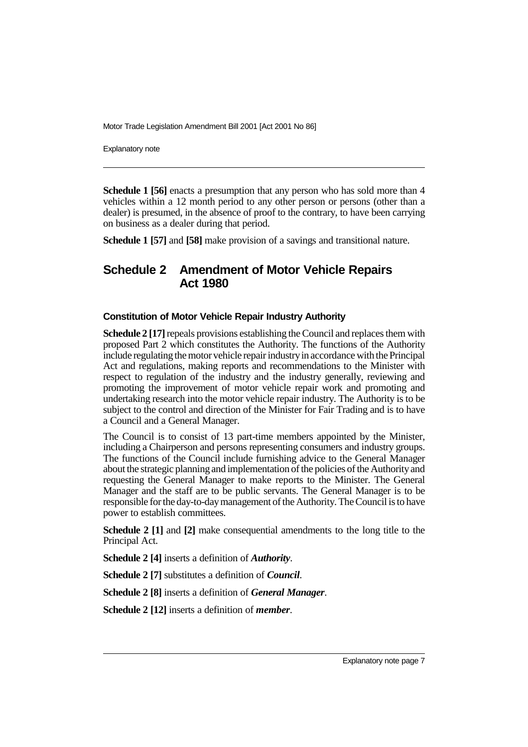Explanatory note

**Schedule 1 [56]** enacts a presumption that any person who has sold more than 4 vehicles within a 12 month period to any other person or persons (other than a dealer) is presumed, in the absence of proof to the contrary, to have been carrying on business as a dealer during that period.

**Schedule 1 [57]** and **[58]** make provision of a savings and transitional nature.

### **Schedule 2 Amendment of Motor Vehicle Repairs Act 1980**

#### **Constitution of Motor Vehicle Repair Industry Authority**

**Schedule 2 [17]** repeals provisions establishing the Council and replaces them with proposed Part 2 which constitutes the Authority. The functions of the Authority include regulating the motor vehicle repair industry in accordance with the Principal Act and regulations, making reports and recommendations to the Minister with respect to regulation of the industry and the industry generally, reviewing and promoting the improvement of motor vehicle repair work and promoting and undertaking research into the motor vehicle repair industry. The Authority is to be subject to the control and direction of the Minister for Fair Trading and is to have a Council and a General Manager.

The Council is to consist of 13 part-time members appointed by the Minister, including a Chairperson and persons representing consumers and industry groups. The functions of the Council include furnishing advice to the General Manager about the strategic planning and implementation of the policies of the Authority and requesting the General Manager to make reports to the Minister. The General Manager and the staff are to be public servants. The General Manager is to be responsible for the day-to-day management of the Authority. The Council is to have power to establish committees.

**Schedule 2 [1]** and **[2]** make consequential amendments to the long title to the Principal Act.

**Schedule 2 [4]** inserts a definition of *Authority*.

**Schedule 2 [7]** substitutes a definition of *Council*.

**Schedule 2 [8]** inserts a definition of *General Manager*.

**Schedule 2 [12]** inserts a definition of *member*.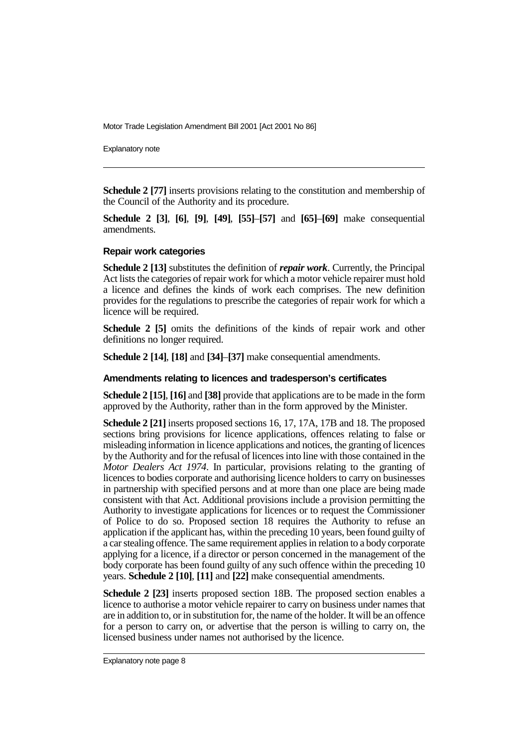Explanatory note

**Schedule 2 [77]** inserts provisions relating to the constitution and membership of the Council of the Authority and its procedure.

**Schedule 2 [3]**, **[6]**, **[9]**, **[49]**, **[55]**–**[57]** and **[65]**–**[69]** make consequential amendments.

### **Repair work categories**

**Schedule 2 [13]** substitutes the definition of *repair work*. Currently, the Principal Act lists the categories of repair work for which a motor vehicle repairer must hold a licence and defines the kinds of work each comprises. The new definition provides for the regulations to prescribe the categories of repair work for which a licence will be required.

**Schedule 2 [5]** omits the definitions of the kinds of repair work and other definitions no longer required.

**Schedule 2 [14]**, **[18]** and **[34]**–**[37]** make consequential amendments.

### **Amendments relating to licences and tradesperson's certificates**

**Schedule 2 [15]**, **[16]** and **[38]** provide that applications are to be made in the form approved by the Authority, rather than in the form approved by the Minister.

**Schedule 2 [21]** inserts proposed sections 16, 17, 17A, 17B and 18. The proposed sections bring provisions for licence applications, offences relating to false or misleading information in licence applications and notices, the granting of licences by the Authority and for the refusal of licences into line with those contained in the *Motor Dealers Act 1974*. In particular, provisions relating to the granting of licences to bodies corporate and authorising licence holders to carry on businesses in partnership with specified persons and at more than one place are being made consistent with that Act. Additional provisions include a provision permitting the Authority to investigate applications for licences or to request the Commissioner of Police to do so. Proposed section 18 requires the Authority to refuse an application if the applicant has, within the preceding 10 years, been found guilty of a car stealing offence. The same requirement applies in relation to a body corporate applying for a licence, if a director or person concerned in the management of the body corporate has been found guilty of any such offence within the preceding 10 years. **Schedule 2 [10]**, **[11]** and **[22]** make consequential amendments.

**Schedule 2 [23]** inserts proposed section 18B. The proposed section enables a licence to authorise a motor vehicle repairer to carry on business under names that are in addition to, or in substitution for, the name of the holder. It will be an offence for a person to carry on, or advertise that the person is willing to carry on, the licensed business under names not authorised by the licence.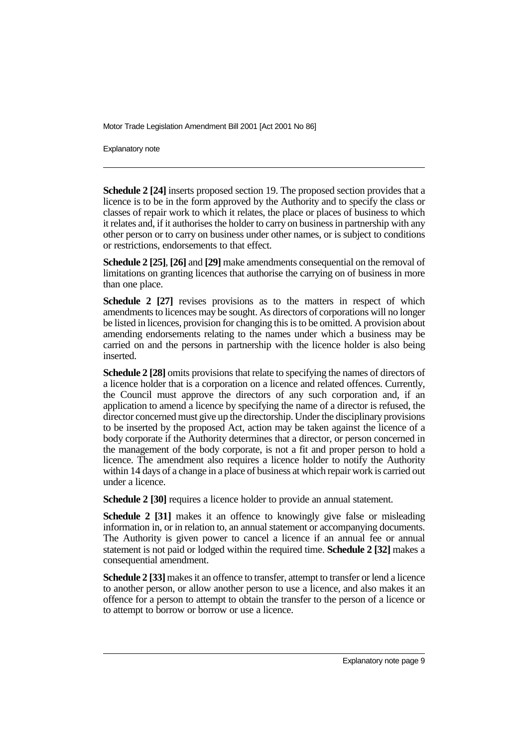Explanatory note

**Schedule 2 [24]** inserts proposed section 19. The proposed section provides that a licence is to be in the form approved by the Authority and to specify the class or classes of repair work to which it relates, the place or places of business to which it relates and, if it authorises the holder to carry on business in partnership with any other person or to carry on business under other names, or is subject to conditions or restrictions, endorsements to that effect.

**Schedule 2 [25]**, **[26]** and **[29]** make amendments consequential on the removal of limitations on granting licences that authorise the carrying on of business in more than one place.

**Schedule 2 [27]** revises provisions as to the matters in respect of which amendments to licences may be sought. As directors of corporations will no longer be listed in licences, provision for changing this is to be omitted. A provision about amending endorsements relating to the names under which a business may be carried on and the persons in partnership with the licence holder is also being inserted.

**Schedule 2 [28]** omits provisions that relate to specifying the names of directors of a licence holder that is a corporation on a licence and related offences. Currently, the Council must approve the directors of any such corporation and, if an application to amend a licence by specifying the name of a director is refused, the director concerned must give up the directorship. Under the disciplinary provisions to be inserted by the proposed Act, action may be taken against the licence of a body corporate if the Authority determines that a director, or person concerned in the management of the body corporate, is not a fit and proper person to hold a licence. The amendment also requires a licence holder to notify the Authority within 14 days of a change in a place of business at which repair work is carried out under a licence.

**Schedule 2 [30]** requires a licence holder to provide an annual statement.

**Schedule 2 [31]** makes it an offence to knowingly give false or misleading information in, or in relation to, an annual statement or accompanying documents. The Authority is given power to cancel a licence if an annual fee or annual statement is not paid or lodged within the required time. **Schedule 2 [32]** makes a consequential amendment.

**Schedule 2 [33]** makes it an offence to transfer, attempt to transfer or lend a licence to another person, or allow another person to use a licence, and also makes it an offence for a person to attempt to obtain the transfer to the person of a licence or to attempt to borrow or borrow or use a licence.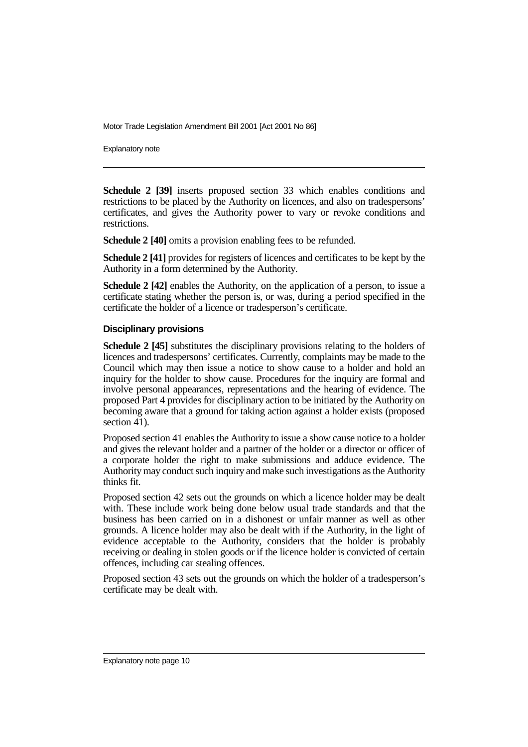Explanatory note

**Schedule 2 [39]** inserts proposed section 33 which enables conditions and restrictions to be placed by the Authority on licences, and also on tradespersons' certificates, and gives the Authority power to vary or revoke conditions and restrictions.

**Schedule 2 [40]** omits a provision enabling fees to be refunded.

**Schedule 2 [41]** provides for registers of licences and certificates to be kept by the Authority in a form determined by the Authority.

**Schedule 2 [42]** enables the Authority, on the application of a person, to issue a certificate stating whether the person is, or was, during a period specified in the certificate the holder of a licence or tradesperson's certificate.

#### **Disciplinary provisions**

**Schedule 2 [45]** substitutes the disciplinary provisions relating to the holders of licences and tradespersons' certificates. Currently, complaints may be made to the Council which may then issue a notice to show cause to a holder and hold an inquiry for the holder to show cause. Procedures for the inquiry are formal and involve personal appearances, representations and the hearing of evidence. The proposed Part 4 provides for disciplinary action to be initiated by the Authority on becoming aware that a ground for taking action against a holder exists (proposed section 41).

Proposed section 41 enables the Authority to issue a show cause notice to a holder and gives the relevant holder and a partner of the holder or a director or officer of a corporate holder the right to make submissions and adduce evidence. The Authority may conduct such inquiry and make such investigations as the Authority thinks fit.

Proposed section 42 sets out the grounds on which a licence holder may be dealt with. These include work being done below usual trade standards and that the business has been carried on in a dishonest or unfair manner as well as other grounds. A licence holder may also be dealt with if the Authority, in the light of evidence acceptable to the Authority, considers that the holder is probably receiving or dealing in stolen goods or if the licence holder is convicted of certain offences, including car stealing offences.

Proposed section 43 sets out the grounds on which the holder of a tradesperson's certificate may be dealt with.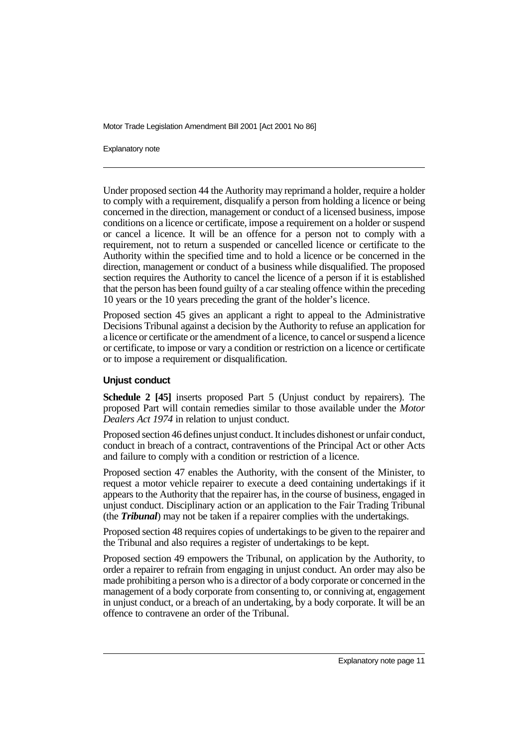Explanatory note

Under proposed section 44 the Authority may reprimand a holder, require a holder to comply with a requirement, disqualify a person from holding a licence or being concerned in the direction, management or conduct of a licensed business, impose conditions on a licence or certificate, impose a requirement on a holder or suspend or cancel a licence. It will be an offence for a person not to comply with a requirement, not to return a suspended or cancelled licence or certificate to the Authority within the specified time and to hold a licence or be concerned in the direction, management or conduct of a business while disqualified. The proposed section requires the Authority to cancel the licence of a person if it is established that the person has been found guilty of a car stealing offence within the preceding 10 years or the 10 years preceding the grant of the holder's licence.

Proposed section 45 gives an applicant a right to appeal to the Administrative Decisions Tribunal against a decision by the Authority to refuse an application for a licence or certificate or the amendment of a licence, to cancel or suspend a licence or certificate, to impose or vary a condition or restriction on a licence or certificate or to impose a requirement or disqualification.

### **Unjust conduct**

**Schedule 2 [45]** inserts proposed Part 5 (Unjust conduct by repairers). The proposed Part will contain remedies similar to those available under the *Motor Dealers Act 1974* in relation to unjust conduct.

Proposed section 46 defines unjust conduct. It includes dishonest or unfair conduct, conduct in breach of a contract, contraventions of the Principal Act or other Acts and failure to comply with a condition or restriction of a licence.

Proposed section 47 enables the Authority, with the consent of the Minister, to request a motor vehicle repairer to execute a deed containing undertakings if it appears to the Authority that the repairer has, in the course of business, engaged in unjust conduct. Disciplinary action or an application to the Fair Trading Tribunal (the *Tribunal*) may not be taken if a repairer complies with the undertakings.

Proposed section 48 requires copies of undertakings to be given to the repairer and the Tribunal and also requires a register of undertakings to be kept.

Proposed section 49 empowers the Tribunal, on application by the Authority, to order a repairer to refrain from engaging in unjust conduct. An order may also be made prohibiting a person who is a director of a body corporate or concerned in the management of a body corporate from consenting to, or conniving at, engagement in unjust conduct, or a breach of an undertaking, by a body corporate. It will be an offence to contravene an order of the Tribunal.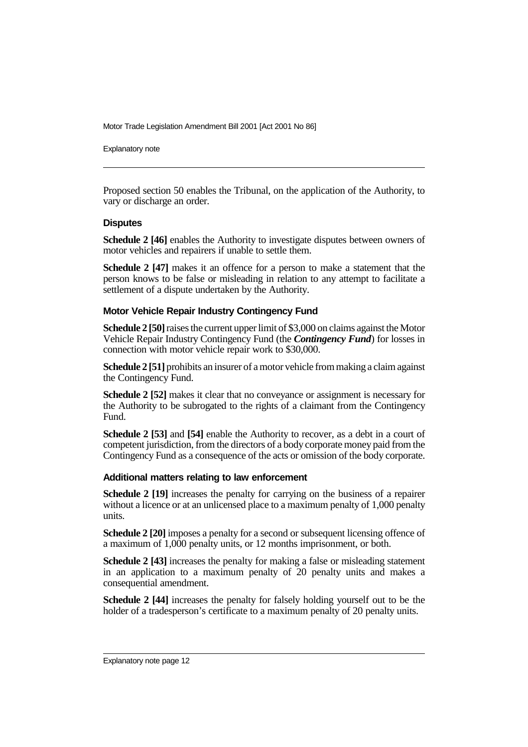Explanatory note

Proposed section 50 enables the Tribunal, on the application of the Authority, to vary or discharge an order.

### **Disputes**

**Schedule 2 [46]** enables the Authority to investigate disputes between owners of motor vehicles and repairers if unable to settle them.

**Schedule 2 [47]** makes it an offence for a person to make a statement that the person knows to be false or misleading in relation to any attempt to facilitate a settlement of a dispute undertaken by the Authority.

### **Motor Vehicle Repair Industry Contingency Fund**

**Schedule 2 [50]** raises the current upper limit of \$3,000 on claims against the Motor Vehicle Repair Industry Contingency Fund (the *Contingency Fund*) for losses in connection with motor vehicle repair work to \$30,000.

**Schedule 2 [51]** prohibits an insurer of a motor vehicle from making a claim against the Contingency Fund.

**Schedule 2 [52]** makes it clear that no conveyance or assignment is necessary for the Authority to be subrogated to the rights of a claimant from the Contingency Fund.

**Schedule 2 [53]** and **[54]** enable the Authority to recover, as a debt in a court of competent jurisdiction, from the directors of a body corporate money paid from the Contingency Fund as a consequence of the acts or omission of the body corporate.

### **Additional matters relating to law enforcement**

**Schedule 2 [19]** increases the penalty for carrying on the business of a repairer without a licence or at an unlicensed place to a maximum penalty of 1,000 penalty units.

**Schedule 2 [20]** imposes a penalty for a second or subsequent licensing offence of a maximum of 1,000 penalty units, or 12 months imprisonment, or both.

**Schedule 2 [43]** increases the penalty for making a false or misleading statement in an application to a maximum penalty of 20 penalty units and makes a consequential amendment.

**Schedule 2 [44]** increases the penalty for falsely holding yourself out to be the holder of a tradesperson's certificate to a maximum penalty of 20 penalty units.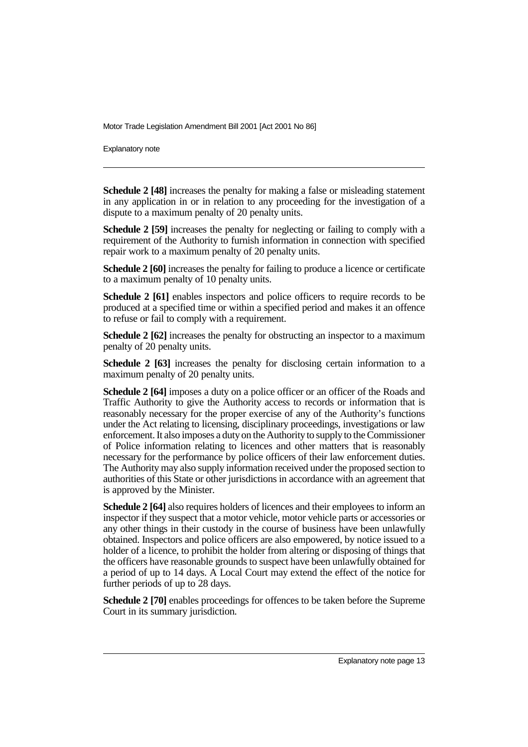Explanatory note

**Schedule 2 [48]** increases the penalty for making a false or misleading statement in any application in or in relation to any proceeding for the investigation of a dispute to a maximum penalty of 20 penalty units.

**Schedule 2 [59]** increases the penalty for neglecting or failing to comply with a requirement of the Authority to furnish information in connection with specified repair work to a maximum penalty of 20 penalty units.

**Schedule 2 [60]** increases the penalty for failing to produce a licence or certificate to a maximum penalty of 10 penalty units.

**Schedule 2 [61]** enables inspectors and police officers to require records to be produced at a specified time or within a specified period and makes it an offence to refuse or fail to comply with a requirement.

**Schedule 2 [62]** increases the penalty for obstructing an inspector to a maximum penalty of 20 penalty units.

**Schedule 2 [63]** increases the penalty for disclosing certain information to a maximum penalty of 20 penalty units.

**Schedule 2 [64]** imposes a duty on a police officer or an officer of the Roads and Traffic Authority to give the Authority access to records or information that is reasonably necessary for the proper exercise of any of the Authority's functions under the Act relating to licensing, disciplinary proceedings, investigations or law enforcement. It also imposes a duty on the Authority to supply to the Commissioner of Police information relating to licences and other matters that is reasonably necessary for the performance by police officers of their law enforcement duties. The Authority may also supply information received under the proposed section to authorities of this State or other jurisdictions in accordance with an agreement that is approved by the Minister.

**Schedule 2 [64]** also requires holders of licences and their employees to inform an inspector if they suspect that a motor vehicle, motor vehicle parts or accessories or any other things in their custody in the course of business have been unlawfully obtained. Inspectors and police officers are also empowered, by notice issued to a holder of a licence, to prohibit the holder from altering or disposing of things that the officers have reasonable grounds to suspect have been unlawfully obtained for a period of up to 14 days. A Local Court may extend the effect of the notice for further periods of up to 28 days.

**Schedule 2 [70]** enables proceedings for offences to be taken before the Supreme Court in its summary jurisdiction.